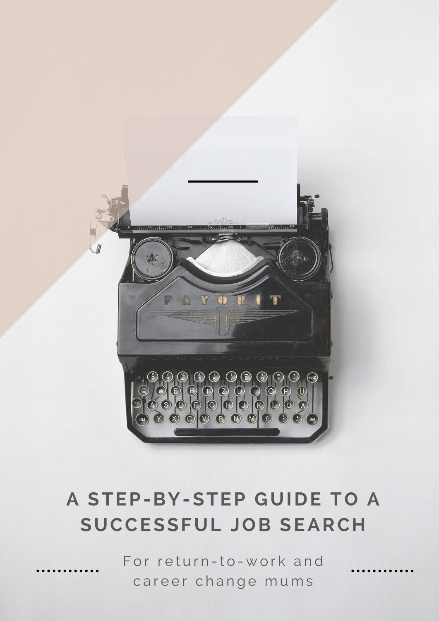

# **A STEP-BY-STEP GUIDE TO A SUCCESSFUL JOB SEARCH**

For return-to-work and career change mums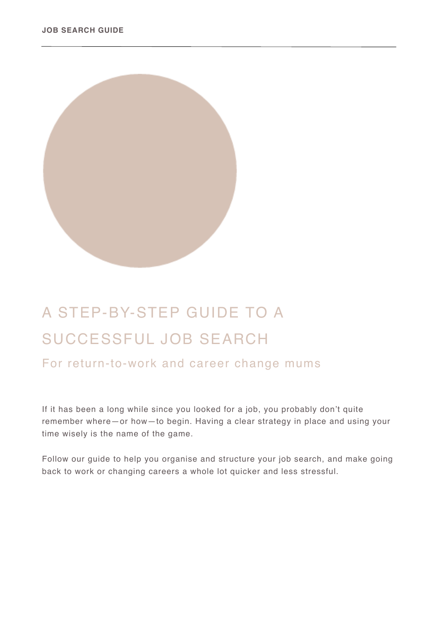

## A STEP-BY-STEP GUIDE TO A SUCCESSFUL JOB SEARCH

For return-to-work and career change mums

If it has been a long while since you looked for a job, you probably don't quite remember where—or how—to begin. Having a clear strategy in place and using your time wisely is the name of the game.

Follow our guide to help you organise and structure your job search, and make going back to work or changing careers a whole lot quicker and less stressful.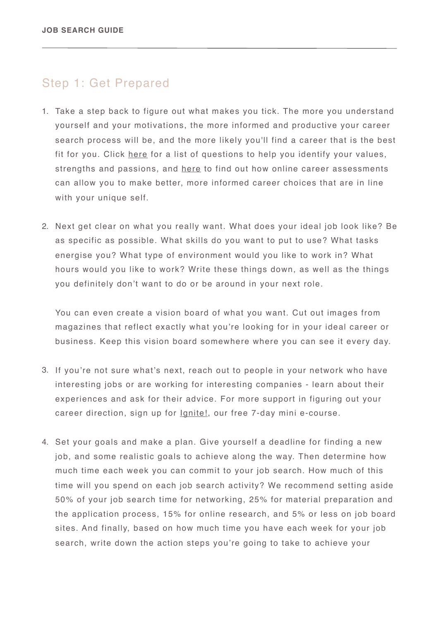#### Step 1: Get Prepared

- 1. Take a step back to figure out what makes you tick. The more you understand yourself and your motivations, the more informed and productive your career search process will be, and the more likely you'll find a career that is the best fit for you. Click [here](http://www.workhappymums.com/rh-discovery-questions.html) for a list of questions to help you identify your values, strengths and passions, and [here](http://www.workhappymums.com/blog/what-are-online-career-assessments-and-how-can-they-help-you-choose-the-right-career-or-business) to find out how online career assessments can allow you to make better, more informed career choices that are in line with your unique self.
- 2. Next get clear on what you really want. What does your ideal job look like? Be as specific as possible. What skills do you want to put to use? What tasks energise you? What type of environment would you like to work in? What hours would you like to work? Write these things down, as well as the things you definitely don't want to do or be around in your next role.

You can even create a vision board of what you want. Cut out images from magazines that reflect exactly what you're looking for in your ideal career or business. Keep this vision board somewhere where you can see it every day.

- 3. If you're not sure what's next, reach out to people in your network who have interesting jobs or are working for interesting companies - learn about their experiences and ask for their advice. For more support in figuring out your career direction, sign up for *[Ignite!](http://www.workhappymums.com/ignite.html)*, our free 7-day mini e-course.
- 4. Set your goals and make a plan. Give yourself a deadline for finding a new job, and some realistic goals to achieve along the way. Then determine how much time each week you can commit to your job search. How much of this time will you spend on each job search activity? We recommend setting aside 50% of your job search time for networking, 25% for material preparation and the application process, 15% for online research, and 5% or less on job board sites. And finally, based on how much time you have each week for your job search, write down the action steps you're going to take to achieve your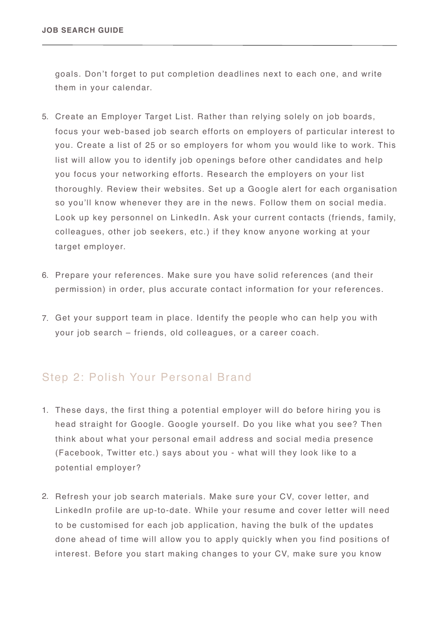goals. Don't forget to put completion deadlines next to each one, and write them in your calendar.

- 5. Create an Employer Target List. Rather than relying solely on job boards, focus your web-based job search efforts on employers of particular interest to you. Create a list of 25 or so employers for whom you would like to work. This list will allow you to identify job openings before other candidates and help you focus your networking efforts. Research the employers on your list thoroughly. Review their websites. Set up a Google alert for each organisation so you'll know whenever they are in the news. Follow them on social media. Look up key personnel on LinkedIn. Ask your current contacts (friends, family, colleagues, other job seekers, etc.) if they know anyone working at your target employer.
- 6. Prepare your references. Make sure you have solid references (and their permission) in order, plus accurate contact information for your references.
- 7. Get your support team in place. Identify the people who can help you with your job search – friends, old colleagues, or a career coach.

## Step 2: Polish Your Personal Brand

- 1. These days, the first thing a potential employer will do before hiring you is head straight for Google. Google yourself. Do you like what you see? Then think about what your personal email address and social media presence (Facebook, Twitter etc.) says about you - what will they look like to a potential employer?
- 2. Refresh your job search materials. Make sure your CV, cover letter, and LinkedIn profile are up-to-date. While your resume and cover letter will need to be customised for each job application, having the bulk of the updates done ahead of time will allow you to apply quickly when you find positions of interest. Before you start making changes to your CV, make sure you know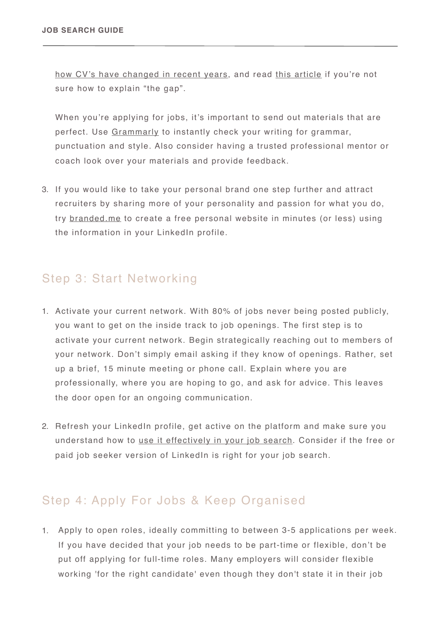[how CV's have changed in recent years](http://www.workhappymums.com/blog/-cvs-have-changed-since-you-last-looked-for-a-job-heres-how), and read [this article](http://www.workhappymums.com/blog/how-to-mind-the-gap-on-your-cv-after-maternity-leave) if you're not sure how to explain "the gap".

When you're applying for jobs, it's important to send out materials that are perfect. Use [Grammarly](https://www.grammarly.com/) to instantly check your writing for grammar, punctuation and style. Also consider having a trusted professional mentor or coach look over your materials and provide feedback.

3. If you would like to take your personal brand one step further and attract recruiters by sharing more of your personality and passion for what you do, try [branded.me](http://branded.me) to create a free personal website in minutes (or less) using the information in your LinkedIn profile.

## Step 3: Start Networking

- 1. Activate your current network. With 80% of jobs never being posted publicly, you want to get on the inside track to job openings. The first step is to activate your current network. Begin strategically reaching out to members of your network. Don't simply email asking if they know of openings. Rather, set up a brief, 15 minute meeting or phone call. Explain where you are professionally, where you are hoping to go, and ask for advice. This leaves the door open for an ongoing communication.
- 2. Refresh your LinkedIn profile, get active on the platform and make sure you understand how to [use it effectively in your job search](https://www.workhappymums.com/blog/6-ways-to-use-linkedin-to-find-a-job). Consider if the free or paid job seeker version of LinkedIn is right for your job search.

## Step 4: Apply For Jobs & Keep Organised

1. Apply to open roles, ideally committing to between 3-5 applications per week. If you have decided that your job needs to be part-time or flexible, don't be put off applying for full-time roles. Many employers will consider flexible working 'for the right candidate' even though they don't state it in their job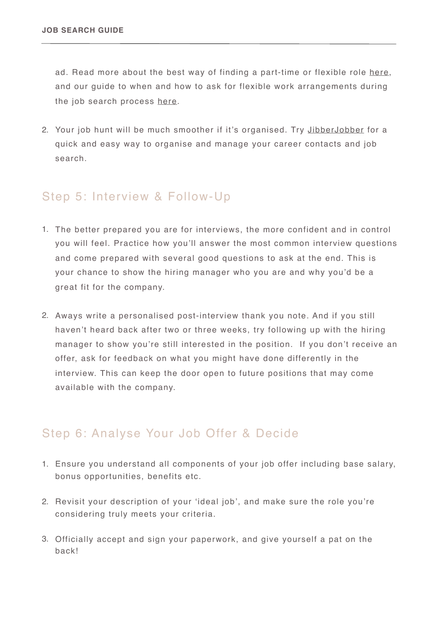ad. Read more about the best way of finding a part-time or flexible role [here](http://www.workhappymums.com/blog/how-to-find-your-ideal-family-friendly-job), and our guide to when and how to ask for flexible work arrangements during the job search process [here](http://www.workhappymums.com/blog/when-and-how-to-ask-for-flexible-work-arrangements-during-the-job-search-process).

2. Your job hunt will be much smoother if it's organised. Try [JibberJobber](http://www.jibberjobber.com/login.php) for a quick and easy way to organise and manage your career contacts and job search.

#### Step 5: Interview & Follow-Up

- 1. The better prepared you are for interviews, the more confident and in control you will feel. Practice how you'll answer the most common interview questions and come prepared with several good questions to ask at the end. This is your chance to show the hiring manager who you are and why you'd be a great fit for the company.
- 2. Aways write a personalised post-interview thank you note. And if you still haven't heard back after two or three weeks, try following up with the hiring manager to show you're still interested in the position. If you don't receive an offer, ask for feedback on what you might have done differently in the interview. This can keep the door open to future positions that may come available with the company.

## Step 6: Analyse Your Job Offer & Decide

- 1. Ensure you understand all components of your job offer including base salary, bonus opportunities, benefits etc.
- 2. Revisit your description of your 'ideal job', and make sure the role you're considering truly meets your criteria.
- 3. Officially accept and sign your paperwork, and give yourself a pat on the back!